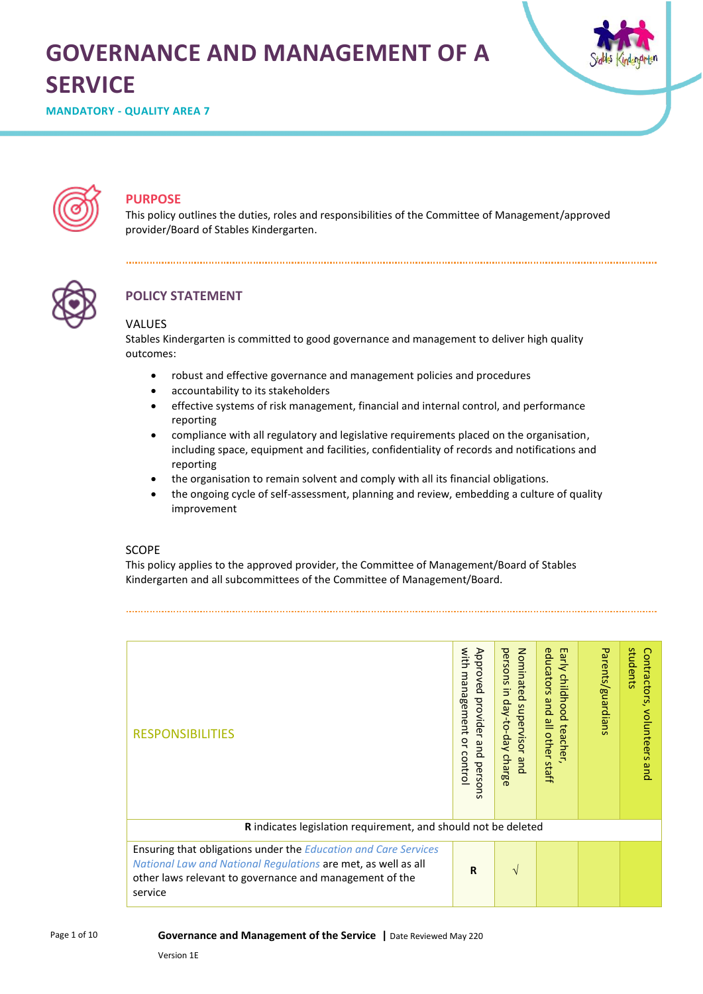# **GOVERNANCE AND MANAGEMENT OF A SERVICE**



**MANDATORY - QUALITY AREA 7**



## **PURPOSE**

This policy outlines the duties, roles and responsibilities of the Committee of Management/approved provider/Board of Stables Kindergarten.



## **POLICY STATEMENT**

#### VALUES

Stables Kindergarten is committed to good governance and management to deliver high quality outcomes:

- robust and effective governance and management policies and procedures
- accountability to its stakeholders

- effective systems of risk management, financial and internal control, and performance reporting
- compliance with all regulatory and legislative requirements placed on the organisation, including space, equipment and facilities, confidentiality of records and notifications and reporting
- the organisation to remain solvent and comply with all its financial obligations.
- the ongoing cycle of self-assessment, planning and review, embedding a culture of quality improvement

#### SCOPE

This policy applies to the approved provider, the Committee of Management/Board of Stables Kindergarten and all subcommittees of the Committee of Management/Board.

| <b>RESPONSIBILITIES</b>                                                                                                                                                                                       | with<br>Approved<br>management<br>provider<br>$\tilde{\mathbf{a}}$<br>and<br>contro<br>perso<br><b>US</b> | Nominated<br>persons<br>$\overline{5}$<br>day-to-day<br>supervisor and<br>charge | Early<br>educators<br>childhood<br>pue<br>$\overset{\mathbf{p}}{=}$<br>teacher<br><b>other</b><br>staff | Parents/guardians | students<br>Contractors,<br>volunteers<br>qnd |
|---------------------------------------------------------------------------------------------------------------------------------------------------------------------------------------------------------------|-----------------------------------------------------------------------------------------------------------|----------------------------------------------------------------------------------|---------------------------------------------------------------------------------------------------------|-------------------|-----------------------------------------------|
| R indicates legislation requirement, and should not be deleted                                                                                                                                                |                                                                                                           |                                                                                  |                                                                                                         |                   |                                               |
| Ensuring that obligations under the <b>Education and Care Services</b><br>National Law and National Regulations are met, as well as all<br>other laws relevant to governance and management of the<br>service | $\mathbf R$                                                                                               | V                                                                                |                                                                                                         |                   |                                               |

#### **Governance and Management of the Service |** Date Reviewed May 220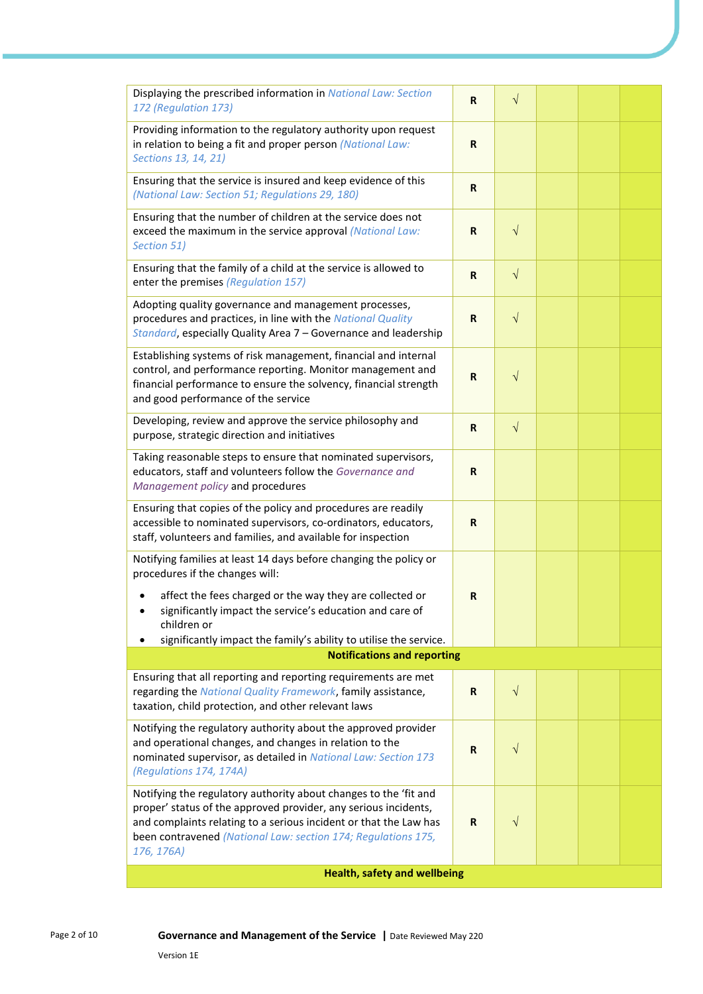| Displaying the prescribed information in National Law: Section<br>172 (Regulation 173)                                                                                                                                                                                                  | R            | $\sqrt{}$  |  |  |  |
|-----------------------------------------------------------------------------------------------------------------------------------------------------------------------------------------------------------------------------------------------------------------------------------------|--------------|------------|--|--|--|
| Providing information to the regulatory authority upon request<br>in relation to being a fit and proper person (National Law:<br>Sections 13, 14, 21)                                                                                                                                   | $\mathbf R$  |            |  |  |  |
| Ensuring that the service is insured and keep evidence of this<br>(National Law: Section 51; Regulations 29, 180)                                                                                                                                                                       | $\mathbf R$  |            |  |  |  |
| Ensuring that the number of children at the service does not<br>exceed the maximum in the service approval (National Law:<br>Section 51)                                                                                                                                                | R            | $\sqrt{ }$ |  |  |  |
| Ensuring that the family of a child at the service is allowed to<br>enter the premises (Regulation 157)                                                                                                                                                                                 | $\mathsf{R}$ | $\sqrt{ }$ |  |  |  |
| Adopting quality governance and management processes,<br>procedures and practices, in line with the National Quality<br>Standard, especially Quality Area 7 - Governance and leadership                                                                                                 | $\mathbf R$  | $\sqrt{ }$ |  |  |  |
| Establishing systems of risk management, financial and internal<br>control, and performance reporting. Monitor management and<br>financial performance to ensure the solvency, financial strength<br>and good performance of the service                                                | $\mathbf R$  | $\sqrt{}$  |  |  |  |
| Developing, review and approve the service philosophy and<br>purpose, strategic direction and initiatives                                                                                                                                                                               | $\mathsf{R}$ | $\sqrt{ }$ |  |  |  |
| Taking reasonable steps to ensure that nominated supervisors,<br>educators, staff and volunteers follow the Governance and<br>Management policy and procedures                                                                                                                          | $\mathbf R$  |            |  |  |  |
| Ensuring that copies of the policy and procedures are readily<br>accessible to nominated supervisors, co-ordinators, educators,<br>staff, volunteers and families, and available for inspection                                                                                         | $\mathsf{R}$ |            |  |  |  |
| Notifying families at least 14 days before changing the policy or<br>procedures if the changes will:                                                                                                                                                                                    |              |            |  |  |  |
| affect the fees charged or the way they are collected or<br>significantly impact the service's education and care of<br>children or<br>significantly impact the family's ability to utilise the service.                                                                                | $\mathbf R$  |            |  |  |  |
| <b>Notifications and reporting</b>                                                                                                                                                                                                                                                      |              |            |  |  |  |
| Ensuring that all reporting and reporting requirements are met                                                                                                                                                                                                                          |              |            |  |  |  |
| regarding the National Quality Framework, family assistance,<br>taxation, child protection, and other relevant laws                                                                                                                                                                     | R            | $\sqrt{ }$ |  |  |  |
| Notifying the regulatory authority about the approved provider<br>and operational changes, and changes in relation to the<br>nominated supervisor, as detailed in National Law: Section 173<br>(Regulations 174, 174A)                                                                  | $\mathbf R$  | $\sqrt{}$  |  |  |  |
| Notifying the regulatory authority about changes to the 'fit and<br>proper' status of the approved provider, any serious incidents,<br>and complaints relating to a serious incident or that the Law has<br>been contravened (National Law: section 174; Regulations 175,<br>176, 176A) | $\mathbf R$  | $\sqrt{}$  |  |  |  |
| <b>Health, safety and wellbeing</b>                                                                                                                                                                                                                                                     |              |            |  |  |  |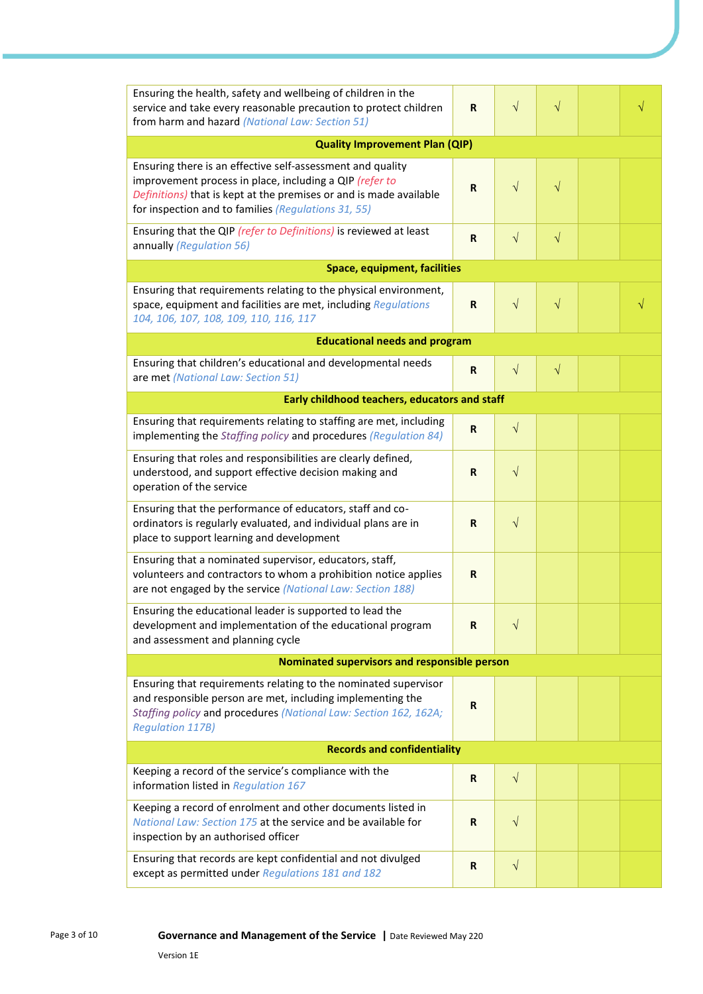| Ensuring the health, safety and wellbeing of children in the<br>service and take every reasonable precaution to protect children<br>from harm and hazard (National Law: Section 51)                                                                | R           | $\sqrt{}$ | $\sqrt{}$  |  |  |
|----------------------------------------------------------------------------------------------------------------------------------------------------------------------------------------------------------------------------------------------------|-------------|-----------|------------|--|--|
| <b>Quality Improvement Plan (QIP)</b>                                                                                                                                                                                                              |             |           |            |  |  |
| Ensuring there is an effective self-assessment and quality<br>improvement process in place, including a QIP (refer to<br>Definitions) that is kept at the premises or and is made available<br>for inspection and to families (Regulations 31, 55) | R           | $\sqrt{}$ | $\sqrt{}$  |  |  |
| Ensuring that the QIP (refer to Definitions) is reviewed at least<br>annually (Regulation 56)                                                                                                                                                      | R           | $\sqrt{}$ | $\sqrt{ }$ |  |  |
| <b>Space, equipment, facilities</b>                                                                                                                                                                                                                |             |           |            |  |  |
| Ensuring that requirements relating to the physical environment,<br>space, equipment and facilities are met, including Regulations<br>104, 106, 107, 108, 109, 110, 116, 117                                                                       | R           | $\sqrt{}$ | $\sqrt{}$  |  |  |
| <b>Educational needs and program</b>                                                                                                                                                                                                               |             |           |            |  |  |
| Ensuring that children's educational and developmental needs<br>are met (National Law: Section 51)                                                                                                                                                 | R           | $\sqrt{}$ | $\sqrt{ }$ |  |  |
| Early childhood teachers, educators and staff                                                                                                                                                                                                      |             |           |            |  |  |
| Ensuring that requirements relating to staffing are met, including<br>implementing the Staffing policy and procedures (Regulation 84)                                                                                                              | $\mathbf R$ | $\sqrt{}$ |            |  |  |
| Ensuring that roles and responsibilities are clearly defined,<br>understood, and support effective decision making and<br>operation of the service                                                                                                 | R           | $\sqrt{}$ |            |  |  |
| Ensuring that the performance of educators, staff and co-<br>ordinators is regularly evaluated, and individual plans are in<br>place to support learning and development                                                                           | $\mathbf R$ | $\sqrt{}$ |            |  |  |
| Ensuring that a nominated supervisor, educators, staff,<br>volunteers and contractors to whom a prohibition notice applies<br>are not engaged by the service (National Law: Section 188)                                                           | R           |           |            |  |  |
| Ensuring the educational leader is supported to lead the<br>development and implementation of the educational program<br>and assessment and planning cycle                                                                                         | R           | $\sqrt{}$ |            |  |  |
| <b>Nominated supervisors and responsible person</b>                                                                                                                                                                                                |             |           |            |  |  |
| Ensuring that requirements relating to the nominated supervisor<br>and responsible person are met, including implementing the<br>Staffing policy and procedures (National Law: Section 162, 162A;<br><b>Regulation 117B)</b>                       | R           |           |            |  |  |
| <b>Records and confidentiality</b>                                                                                                                                                                                                                 |             |           |            |  |  |
| Keeping a record of the service's compliance with the<br>information listed in Regulation 167                                                                                                                                                      | $\mathbf R$ | $\sqrt{}$ |            |  |  |
| Keeping a record of enrolment and other documents listed in<br>National Law: Section 175 at the service and be available for<br>inspection by an authorised officer                                                                                | R           | $\sqrt{}$ |            |  |  |
| Ensuring that records are kept confidential and not divulged<br>except as permitted under Regulations 181 and 182                                                                                                                                  | R           | $\sqrt{}$ |            |  |  |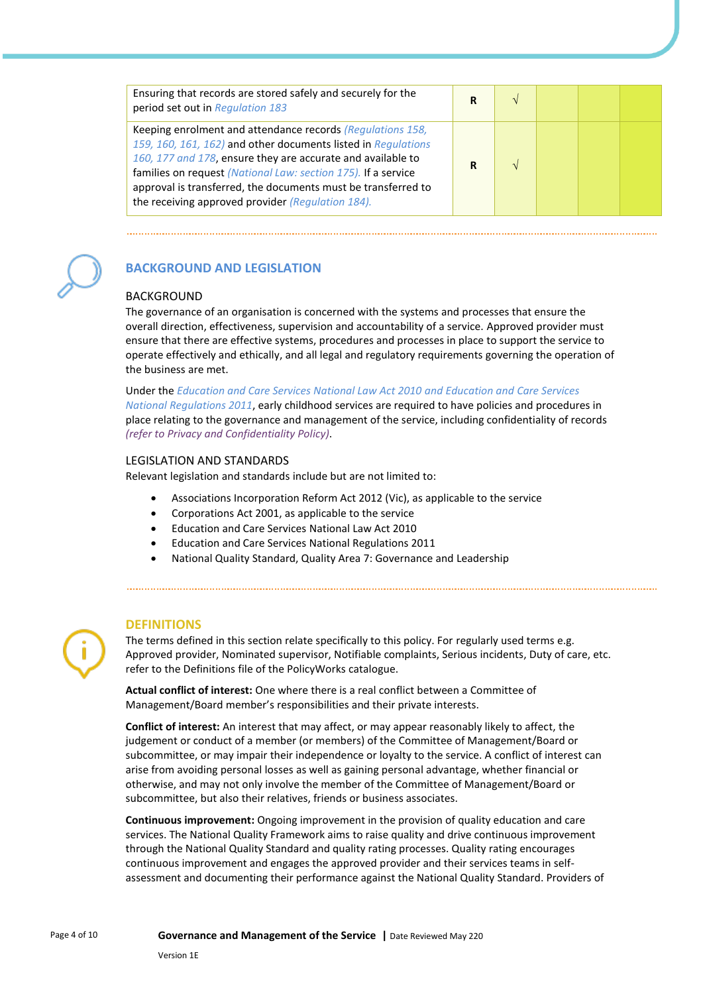| Ensuring that records are stored safely and securely for the<br>period set out in Regulation 183                                                                                                                                                                                                                                                                                  | R |  |  |
|-----------------------------------------------------------------------------------------------------------------------------------------------------------------------------------------------------------------------------------------------------------------------------------------------------------------------------------------------------------------------------------|---|--|--|
| Keeping enrolment and attendance records (Regulations 158,<br>159, 160, 161, 162) and other documents listed in Regulations<br>160, 177 and 178, ensure they are accurate and available to<br>families on request (National Law: section 175). If a service<br>approval is transferred, the documents must be transferred to<br>the receiving approved provider (Regulation 184). | R |  |  |



## **BACKGROUND AND LEGISLATION**

#### BACKGROUND

The governance of an organisation is concerned with the systems and processes that ensure the overall direction, effectiveness, supervision and accountability of a service. Approved provider must ensure that there are effective systems, procedures and processes in place to support the service to operate effectively and ethically, and all legal and regulatory requirements governing the operation of the business are met.

Under the *Education and Care Services National Law Act 2010 and Education and Care Services National Regulations 2011*, early childhood services are required to have policies and procedures in place relating to the governance and management of the service, including confidentiality of records *(refer to Privacy and Confidentiality Policy)*.

#### LEGISLATION AND STANDARDS

Relevant legislation and standards include but are not limited to:

- Associations Incorporation Reform Act 2012 (Vic), as applicable to the service
- Corporations Act 2001, as applicable to the service
- Education and Care Services National Law Act 2010
- Education and Care Services National Regulations 2011
- National Quality Standard, Quality Area 7: Governance and Leadership

## **DEFINITIONS**

The terms defined in this section relate specifically to this policy. For regularly used terms e.g. Approved provider, Nominated supervisor, Notifiable complaints, Serious incidents, Duty of care, etc. refer to the Definitions file of the PolicyWorks catalogue.

**Actual conflict of interest:** One where there is a real conflict between a Committee of Management/Board member's responsibilities and their private interests.

**Conflict of interest:** An interest that may affect, or may appear reasonably likely to affect, the judgement or conduct of a member (or members) of the Committee of Management/Board or subcommittee, or may impair their independence or loyalty to the service. A conflict of interest can arise from avoiding personal losses as well as gaining personal advantage, whether financial or otherwise, and may not only involve the member of the Committee of Management/Board or subcommittee, but also their relatives, friends or business associates.

**Continuous improvement:** Ongoing improvement in the provision of quality education and care services. The National Quality Framework aims to raise quality and drive continuous improvement through the National Quality Standard and quality rating processes. Quality rating encourages continuous improvement and engages the approved provider and their services teams in selfassessment and documenting their performance against the National Quality Standard. Providers of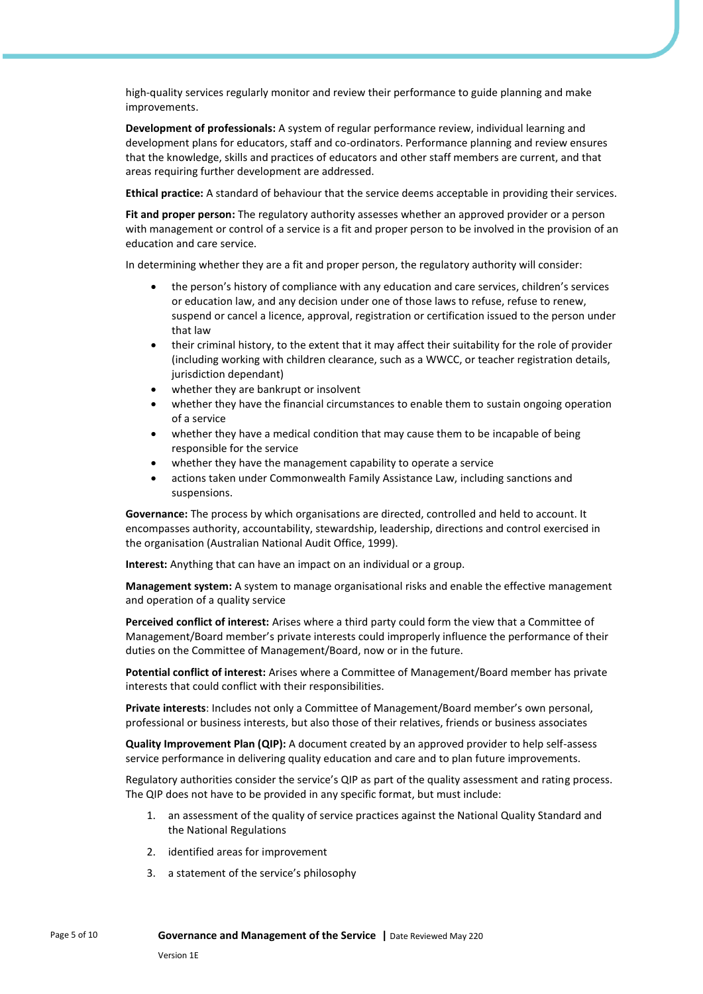high-quality services regularly monitor and review their performance to guide planning and make improvements.

**Development of professionals:** A system of regular performance review, individual learning and development plans for educators, staff and co-ordinators. Performance planning and review ensures that the knowledge, skills and practices of educators and other staff members are current, and that areas requiring further development are addressed.

**Ethical practice:** A standard of behaviour that the service deems acceptable in providing their services.

**Fit and proper person:** The regulatory authority assesses whether an approved provider or a person with management or control of a service is a fit and proper person to be involved in the provision of an education and care service.

In determining whether they are a fit and proper person, the regulatory authority will consider:

- the person's history of compliance with any education and care services, children's services or education law, and any decision under one of those laws to refuse, refuse to renew, suspend or cancel a licence, approval, registration or certification issued to the person under that law
- their criminal history, to the extent that it may affect their suitability for the role of provider (including working with children clearance, such as a WWCC, or teacher registration details, jurisdiction dependant)
- whether they are bankrupt or insolvent
- whether they have the financial circumstances to enable them to sustain ongoing operation of a service
- whether they have a medical condition that may cause them to be incapable of being responsible for the service
- whether they have the management capability to operate a service
- actions taken under Commonwealth Family Assistance Law, including sanctions and suspensions.

**Governance:** The process by which organisations are directed, controlled and held to account. It encompasses authority, accountability, stewardship, leadership, directions and control exercised in the organisation (Australian National Audit Office, 1999).

**Interest:** Anything that can have an impact on an individual or a group.

**Management system:** A system to manage organisational risks and enable the effective management and operation of a quality service

**Perceived conflict of interest:** Arises where a third party could form the view that a Committee of Management/Board member's private interests could improperly influence the performance of their duties on the Committee of Management/Board, now or in the future.

**Potential conflict of interest:** Arises where a Committee of Management/Board member has private interests that could conflict with their responsibilities.

**Private interests**: Includes not only a Committee of Management/Board member's own personal, professional or business interests, but also those of their relatives, friends or business associates

**Quality Improvement Plan (QIP):** A document created by an approved provider to help self-assess service performance in delivering quality education and care and to plan future improvements.

Regulatory authorities consider the service's QIP as part of the quality assessment and rating process. The QIP does not have to be provided in any specific format, but must include:

- 1. an assessment of the quality of service practices against the National Quality Standard and the National Regulations
- 2. identified areas for improvement
- 3. a statement of the service's philosophy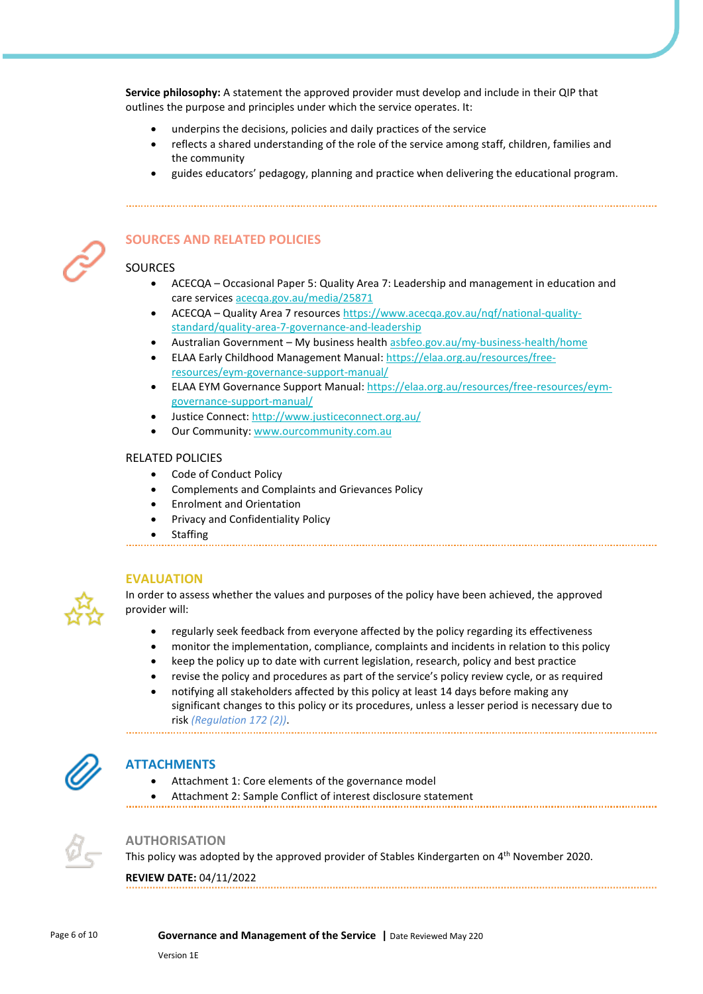**Service philosophy:** A statement the approved provider must develop and include in their QIP that outlines the purpose and principles under which the service operates. It:

- underpins the decisions, policies and daily practices of the service
- reflects a shared understanding of the role of the service among staff, children, families and the community
- guides educators' pedagogy, planning and practice when delivering the educational program.



## **SOURCES AND RELATED POLICIES**

## **SOURCES**

- ACECQA Occasional Paper 5: Quality Area 7: Leadership and management in education and care services [acecqa.gov.au/media/25871](https://www.acecqa.gov.au/sites/default/files/2018-02/OccasionalPaper5-LeadershipManagementEducationCareServices.PDF)
- ACECQA Quality Area 7 resource[s https://www.acecqa.gov.au/nqf/national-quality](https://www.acecqa.gov.au/nqf/national-quality-standard/quality-area-7-governance-and-leadership)[standard/quality-area-7-governance-and-leadership](https://www.acecqa.gov.au/nqf/national-quality-standard/quality-area-7-governance-and-leadership)
- Australian Government My business healt[h asbfeo.gov.au/my-business-health/home](https://www.asbfeo.gov.au/my-business-health/home)
- ELAA Early Childhood Management Manual: [https://elaa.org.au/resources/free](https://elaa.org.au/resources/free-resources/eym-governance-support-manual/)[resources/eym-governance-support-manual/](https://elaa.org.au/resources/free-resources/eym-governance-support-manual/)
- ELAA EYM Governance Support Manual: [https://elaa.org.au/resources/free-resources/eym](https://elaa.org.au/resources/free-resources/eym-governance-support-manual/)[governance-support-manual/](https://elaa.org.au/resources/free-resources/eym-governance-support-manual/)
- Justice Connect: <http://www.justiceconnect.org.au/>
- Our Community: [www.ourcommunity.com.au](http://www.ourcommunity.com.au/)

#### RELATED POLICIES

- Code of Conduct Policy
- Complements and Complaints and Grievances Policy
- Enrolment and Orientation
- Privacy and Confidentiality Policy
- **Staffing**



#### **EVALUATION**

In order to assess whether the values and purposes of the policy have been achieved, the approved provider will:

- regularly seek feedback from everyone affected by the policy regarding its effectiveness
- monitor the implementation, compliance, complaints and incidents in relation to this policy
- keep the policy up to date with current legislation, research, policy and best practice
- revise the policy and procedures as part of the service's policy review cycle, or as required
- notifying all stakeholders affected by this policy at least 14 days before making any significant changes to this policy or its procedures, unless a lesser period is necessary due to risk *(Regulation 172 (2))*.

## **ATTACHMENTS**

- Attachment 1: Core elements of the governance model
- Attachment 2: Sample Conflict of interest disclosure statement



#### **AUTHORISATION**

This policy was adopted by the approved provider of Stables Kindergarten on 4<sup>th</sup> November 2020.

#### **REVIEW DATE:** 04/11/2022

#### Page 6 of 10 **Governance and Management of the Service |** Date Reviewed May 220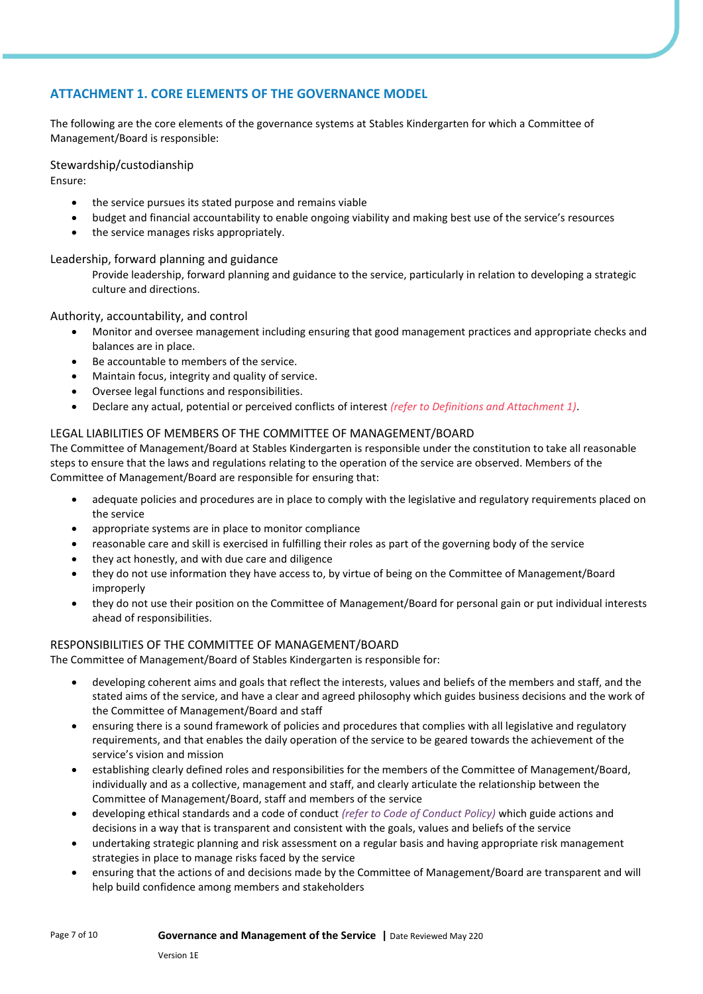## **ATTACHMENT 1. CORE ELEMENTS OF THE GOVERNANCE MODEL**

The following are the core elements of the governance systems at Stables Kindergarten for which a Committee of Management/Board is responsible:

#### Stewardship/custodianship

Ensure:

- the service pursues its stated purpose and remains viable
- budget and financial accountability to enable ongoing viability and making best use of the service's resources
- the service manages risks appropriately.

#### Leadership, forward planning and guidance

Provide leadership, forward planning and guidance to the service, particularly in relation to developing a strategic culture and directions.

#### Authority, accountability, and control

- Monitor and oversee management including ensuring that good management practices and appropriate checks and balances are in place.
- Be accountable to members of the service.
- Maintain focus, integrity and quality of service.
- Oversee legal functions and responsibilities.
- Declare any actual, potential or perceived conflicts of interest *(refer to Definitions and Attachment 1)*.

#### LEGAL LIABILITIES OF MEMBERS OF THE COMMITTEE OF MANAGEMENT/BOARD

The Committee of Management/Board at Stables Kindergarten is responsible under the constitution to take all reasonable steps to ensure that the laws and regulations relating to the operation of the service are observed. Members of the Committee of Management/Board are responsible for ensuring that:

- adequate policies and procedures are in place to comply with the legislative and regulatory requirements placed on the service
- appropriate systems are in place to monitor compliance
- reasonable care and skill is exercised in fulfilling their roles as part of the governing body of the service
- they act honestly, and with due care and diligence
- they do not use information they have access to, by virtue of being on the Committee of Management/Board improperly
- they do not use their position on the Committee of Management/Board for personal gain or put individual interests ahead of responsibilities.

#### RESPONSIBILITIES OF THE COMMITTEE OF MANAGEMENT/BOARD

The Committee of Management/Board of Stables Kindergarten is responsible for:

- developing coherent aims and goals that reflect the interests, values and beliefs of the members and staff, and the stated aims of the service, and have a clear and agreed philosophy which guides business decisions and the work of the Committee of Management/Board and staff
- ensuring there is a sound framework of policies and procedures that complies with all legislative and regulatory requirements, and that enables the daily operation of the service to be geared towards the achievement of the service's vision and mission
- establishing clearly defined roles and responsibilities for the members of the Committee of Management/Board, individually and as a collective, management and staff, and clearly articulate the relationship between the Committee of Management/Board, staff and members of the service
- developing ethical standards and a code of conduct *(refer to Code of Conduct Policy)* which guide actions and decisions in a way that is transparent and consistent with the goals, values and beliefs of the service
- undertaking strategic planning and risk assessment on a regular basis and having appropriate risk management strategies in place to manage risks faced by the service
- ensuring that the actions of and decisions made by the Committee of Management/Board are transparent and will help build confidence among members and stakeholders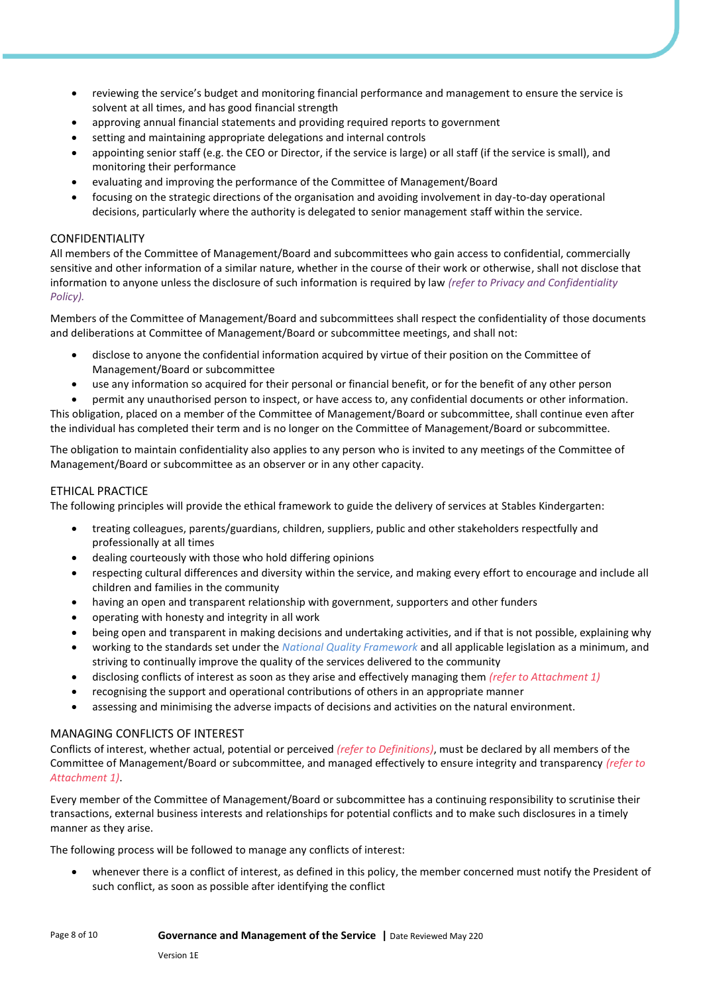- reviewing the service's budget and monitoring financial performance and management to ensure the service is solvent at all times, and has good financial strength
- approving annual financial statements and providing required reports to government
- setting and maintaining appropriate delegations and internal controls
- appointing senior staff (e.g. the CEO or Director, if the service is large) or all staff (if the service is small), and monitoring their performance
- evaluating and improving the performance of the Committee of Management/Board
- focusing on the strategic directions of the organisation and avoiding involvement in day-to-day operational decisions, particularly where the authority is delegated to senior management staff within the service.

#### CONFIDENTIALITY

All members of the Committee of Management/Board and subcommittees who gain access to confidential, commercially sensitive and other information of a similar nature, whether in the course of their work or otherwise, shall not disclose that information to anyone unless the disclosure of such information is required by law *(refer to Privacy and Confidentiality Policy).*

Members of the Committee of Management/Board and subcommittees shall respect the confidentiality of those documents and deliberations at Committee of Management/Board or subcommittee meetings, and shall not:

- disclose to anyone the confidential information acquired by virtue of their position on the Committee of Management/Board or subcommittee
- use any information so acquired for their personal or financial benefit, or for the benefit of any other person

• permit any unauthorised person to inspect, or have access to, any confidential documents or other information. This obligation, placed on a member of the Committee of Management/Board or subcommittee, shall continue even after the individual has completed their term and is no longer on the Committee of Management/Board or subcommittee.

The obligation to maintain confidentiality also applies to any person who is invited to any meetings of the Committee of Management/Board or subcommittee as an observer or in any other capacity.

#### ETHICAL PRACTICE

The following principles will provide the ethical framework to guide the delivery of services at Stables Kindergarten:

- treating colleagues, parents/guardians, children, suppliers, public and other stakeholders respectfully and professionally at all times
- dealing courteously with those who hold differing opinions
- respecting cultural differences and diversity within the service, and making every effort to encourage and include all children and families in the community
- having an open and transparent relationship with government, supporters and other funders
- operating with honesty and integrity in all work
- being open and transparent in making decisions and undertaking activities, and if that is not possible, explaining why
- working to the standards set under the *National Quality Framework* and all applicable legislation as a minimum, and striving to continually improve the quality of the services delivered to the community
- disclosing conflicts of interest as soon as they arise and effectively managing them *(refer to Attachment 1)*
- recognising the support and operational contributions of others in an appropriate manner
- assessing and minimising the adverse impacts of decisions and activities on the natural environment.

#### MANAGING CONFLICTS OF INTEREST

Conflicts of interest, whether actual, potential or perceived *(refer to Definitions)*, must be declared by all members of the Committee of Management/Board or subcommittee, and managed effectively to ensure integrity and transparency *(refer to Attachment 1)*.

Every member of the Committee of Management/Board or subcommittee has a continuing responsibility to scrutinise their transactions, external business interests and relationships for potential conflicts and to make such disclosures in a timely manner as they arise.

The following process will be followed to manage any conflicts of interest:

• whenever there is a conflict of interest, as defined in this policy, the member concerned must notify the President of such conflict, as soon as possible after identifying the conflict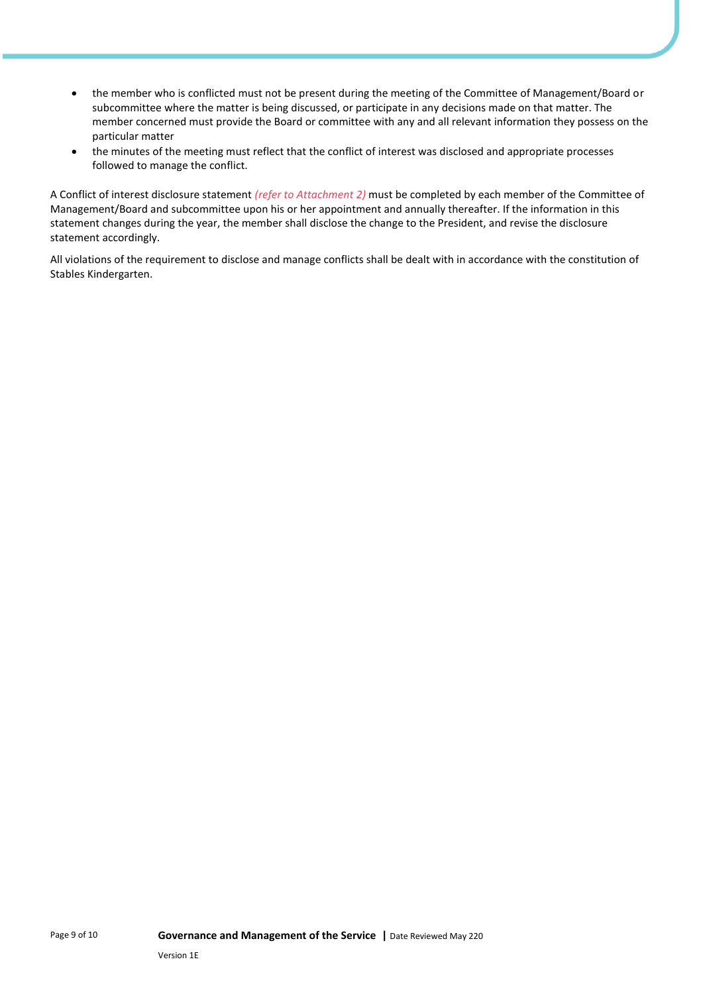- the member who is conflicted must not be present during the meeting of the Committee of Management/Board or subcommittee where the matter is being discussed, or participate in any decisions made on that matter. The member concerned must provide the Board or committee with any and all relevant information they possess on the particular matter
- the minutes of the meeting must reflect that the conflict of interest was disclosed and appropriate processes followed to manage the conflict.

A Conflict of interest disclosure statement *(refer to Attachment 2)* must be completed by each member of the Committee of Management/Board and subcommittee upon his or her appointment and annually thereafter. If the information in this statement changes during the year, the member shall disclose the change to the President, and revise the disclosure statement accordingly.

All violations of the requirement to disclose and manage conflicts shall be dealt with in accordance with the constitution of Stables Kindergarten.